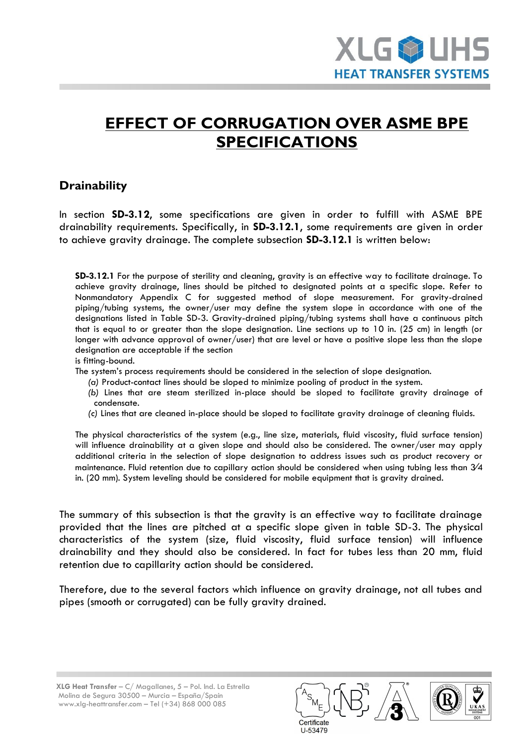## **EFFECT OF CORRUGATION OVER ASME BPE SPECIFICATIONS**

## **Drainability**

In section **SD-3.12**, some specifications are given in order to fulfill with ASME BPE drainability requirements. Specifically, in **SD-3.12.1**, some requirements are given in order to achieve gravity drainage. The complete subsection **SD-3.12.1** is written below:

**SD-3.12.1** For the purpose of sterility and cleaning, gravity is an effective way to facilitate drainage. To achieve gravity drainage, lines should be pitched to designated points at a specific slope. Refer to Nonmandatory Appendix C for suggested method of slope measurement. For gravity-drained piping/tubing systems, the owner/user may define the system slope in accordance with one of the designations listed in Table SD-3. Gravity-drained piping/tubing systems shall have a continuous pitch that is equal to or greater than the slope designation. Line sections up to 10 in. (25 cm) in length (or longer with advance approval of owner/user) that are level or have a positive slope less than the slope designation are acceptable if the section

is fitting-bound.

The system's process requirements should be considered in the selection of slope designation.

- *(a)* Product-contact lines should be sloped to minimize pooling of product in the system.
- *(b)* Lines that are steam sterilized in-place should be sloped to facilitate gravity drainage of condensate.
- *(c)* Lines that are cleaned in-place should be sloped to facilitate gravity drainage of cleaning fluids.

The physical characteristics of the system (e.g., line size, materials, fluid viscosity, fluid surface tension) will influence drainability at a given slope and should also be considered. The owner/user may apply additional criteria in the selection of slope designation to address issues such as product recovery or maintenance. Fluid retention due to capillary action should be considered when using tubing less than 3/4 in. (20 mm). System leveling should be considered for mobile equipment that is gravity drained.

The summary of this subsection is that the gravity is an effective way to facilitate drainage provided that the lines are pitched at a specific slope given in table SD-3. The physical characteristics of the system (size, fluid viscosity, fluid surface tension) will influence drainability and they should also be considered. In fact for tubes less than 20 mm, fluid retention due to capillarity action should be considered.

Therefore, due to the several factors which influence on gravity drainage, not all tubes and pipes (smooth or corrugated) can be fully gravity drained.